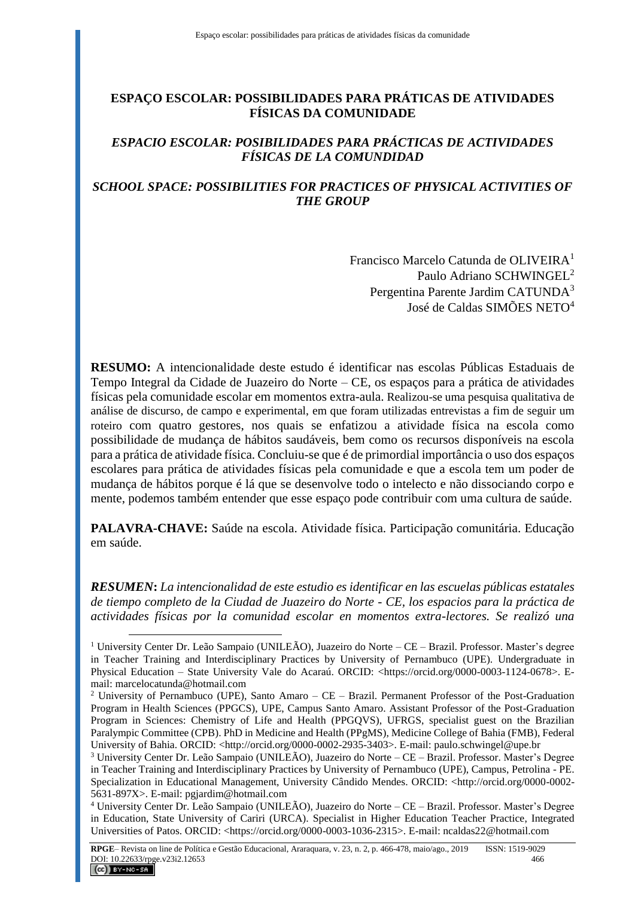# **ESPAÇO ESCOLAR: POSSIBILIDADES PARA PRÁTICAS DE ATIVIDADES FÍSICAS DA COMUNIDADE**

### *ESPACIO ESCOLAR: POSIBILIDADES PARA PRÁCTICAS DE ACTIVIDADES FÍSICAS DE LA COMUNDIDAD*

### *SCHOOL SPACE: POSSIBILITIES FOR PRACTICES OF PHYSICAL ACTIVITIES OF THE GROUP*

Francisco Marcelo Catunda de OLIVEIRA<sup>1</sup> Paulo Adriano SCHWINGEL<sup>2</sup> Pergentina Parente Jardim CATUNDA<sup>3</sup> José de Caldas SIMÕES NETO<sup>4</sup>

**RESUMO:** A intencionalidade deste estudo é identificar nas escolas Públicas Estaduais de Tempo Integral da Cidade de Juazeiro do Norte – CE, os espaços para a prática de atividades físicas pela comunidade escolar em momentos extra-aula. Realizou-se uma pesquisa qualitativa de análise de discurso, de campo e experimental, em que foram utilizadas entrevistas a fim de seguir um roteiro com quatro gestores, nos quais se enfatizou a atividade física na escola como possibilidade de mudança de hábitos saudáveis, bem como os recursos disponíveis na escola para a prática de atividade física. Concluiu-se que é de primordial importância o uso dos espaços escolares para prática de atividades físicas pela comunidade e que a escola tem um poder de mudança de hábitos porque é lá que se desenvolve todo o intelecto e não dissociando corpo e mente, podemos também entender que esse espaço pode contribuir com uma cultura de saúde.

**PALAVRA-CHAVE:** Saúde na escola. Atividade física. Participação comunitária. Educação em saúde.

*RESUMEN***:** *La intencionalidad de este estudio es identificar en las escuelas públicas estatales de tiempo completo de la Ciudad de Juazeiro do Norte - CE, los espacios para la práctica de actividades físicas por la comunidad escolar en momentos extra-lectores. Se realizó una* 

 $\overline{a}$ 

<sup>&</sup>lt;sup>1</sup> University Center Dr. Leão Sampaio (UNILEÃO), Juazeiro do Norte – CE – Brazil. Professor. Master's degree in Teacher Training and Interdisciplinary Practices by University of Pernambuco (UPE). Undergraduate in Physical Education – State University Vale do Acaraú. ORCID: <https://orcid.org/0000-0003-1124-0678>. Email: marcelocatunda@hotmail.com

<sup>&</sup>lt;sup>2</sup> University of Pernambuco (UPE), Santo Amaro – CE – Brazil. Permanent Professor of the Post-Graduation Program in Health Sciences (PPGCS), UPE, Campus Santo Amaro. Assistant Professor of the Post-Graduation Program in Sciences: Chemistry of Life and Health (PPGQVS), UFRGS, specialist guest on the Brazilian Paralympic Committee (CPB). PhD in Medicine and Health (PPgMS), Medicine College of Bahia (FMB), Federal University of Bahia. ORCID: <http://orcid.org/0000-0002-2935-3403>. E-mail: paulo.schwingel@upe.br

<sup>3</sup> University Center Dr. Leão Sampaio (UNILEÃO), Juazeiro do Norte – CE – Brazil. Professor. Master's Degree in Teacher Training and Interdisciplinary Practices by University of Pernambuco (UPE), Campus, Petrolina - PE. Specialization in Educational Management, University Cândido Mendes. ORCID: <http://orcid.org/0000-0002- 5631-897X>. E-mail: pgjardim@hotmail.com

<sup>4</sup> University Center Dr. Leão Sampaio (UNILEÃO), Juazeiro do Norte – CE – Brazil. Professor. Master's Degree in Education, State University of Cariri (URCA). Specialist in Higher Education Teacher Practice, Integrated Universities of Patos. ORCID: <https://orcid.org/0000-0003-1036-2315>. E-mail: ncaldas22@hotmail.com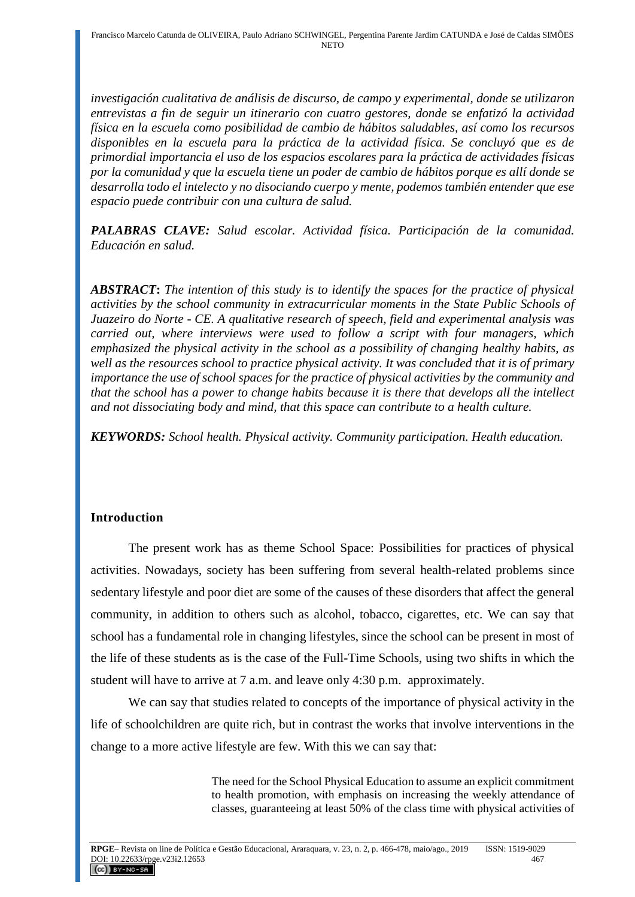*investigación cualitativa de análisis de discurso, de campo y experimental, donde se utilizaron entrevistas a fin de seguir un itinerario con cuatro gestores, donde se enfatizó la actividad física en la escuela como posibilidad de cambio de hábitos saludables, así como los recursos disponibles en la escuela para la práctica de la actividad física. Se concluyó que es de primordial importancia el uso de los espacios escolares para la práctica de actividades físicas por la comunidad y que la escuela tiene un poder de cambio de hábitos porque es allí donde se desarrolla todo el intelecto y no disociando cuerpo y mente, podemos también entender que ese espacio puede contribuir con una cultura de salud.*

*PALABRAS CLAVE: Salud escolar. Actividad física. Participación de la comunidad. Educación en salud.*

*ABSTRACT***:** *The intention of this study is to identify the spaces for the practice of physical activities by the school community in extracurricular moments in the State Public Schools of Juazeiro do Norte - CE. A qualitative research of speech, field and experimental analysis was carried out, where interviews were used to follow a script with four managers, which emphasized the physical activity in the school as a possibility of changing healthy habits, as well as the resources school to practice physical activity. It was concluded that it is of primary importance the use of school spaces for the practice of physical activities by the community and that the school has a power to change habits because it is there that develops all the intellect and not dissociating body and mind, that this space can contribute to a health culture.*

*KEYWORDS: School health. Physical activity. Community participation. Health education.*

## **Introduction**

The present work has as theme School Space: Possibilities for practices of physical activities. Nowadays, society has been suffering from several health-related problems since sedentary lifestyle and poor diet are some of the causes of these disorders that affect the general community, in addition to others such as alcohol, tobacco, cigarettes, etc. We can say that school has a fundamental role in changing lifestyles, since the school can be present in most of the life of these students as is the case of the Full-Time Schools, using two shifts in which the student will have to arrive at 7 a.m. and leave only 4:30 p.m. approximately.

We can say that studies related to concepts of the importance of physical activity in the life of schoolchildren are quite rich, but in contrast the works that involve interventions in the change to a more active lifestyle are few. With this we can say that:

> The need for the School Physical Education to assume an explicit commitment to health promotion, with emphasis on increasing the weekly attendance of classes, guaranteeing at least 50% of the class time with physical activities of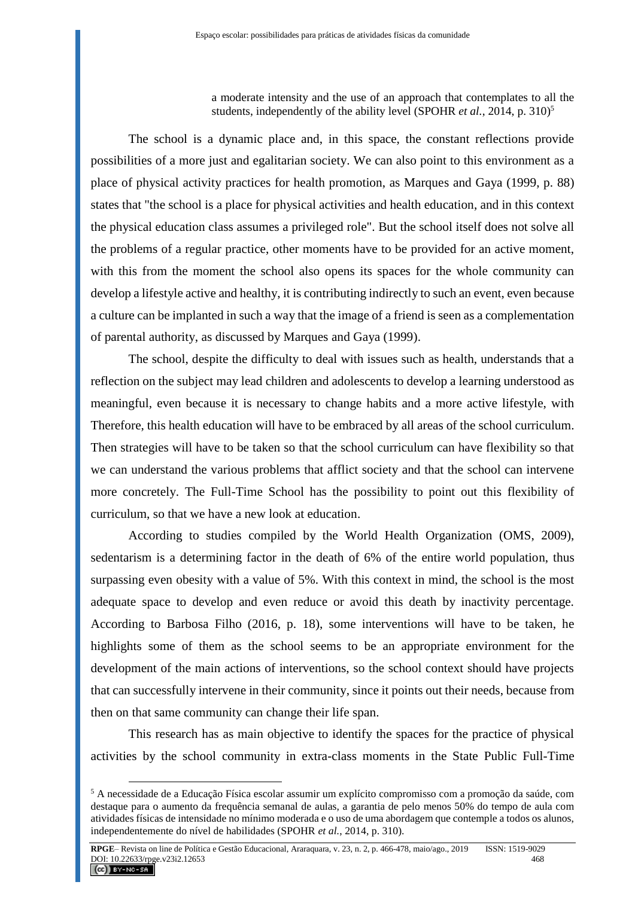a moderate intensity and the use of an approach that contemplates to all the students, independently of the ability level (SPOHR *et al.*, 2014, p. 310)<sup>5</sup>

The school is a dynamic place and, in this space, the constant reflections provide possibilities of a more just and egalitarian society. We can also point to this environment as a place of physical activity practices for health promotion, as Marques and Gaya (1999, p. 88) states that "the school is a place for physical activities and health education, and in this context the physical education class assumes a privileged role". But the school itself does not solve all the problems of a regular practice, other moments have to be provided for an active moment, with this from the moment the school also opens its spaces for the whole community can develop a lifestyle active and healthy, it is contributing indirectly to such an event, even because a culture can be implanted in such a way that the image of a friend is seen as a complementation of parental authority, as discussed by Marques and Gaya (1999).

The school, despite the difficulty to deal with issues such as health, understands that a reflection on the subject may lead children and adolescents to develop a learning understood as meaningful, even because it is necessary to change habits and a more active lifestyle, with Therefore, this health education will have to be embraced by all areas of the school curriculum. Then strategies will have to be taken so that the school curriculum can have flexibility so that we can understand the various problems that afflict society and that the school can intervene more concretely. The Full-Time School has the possibility to point out this flexibility of curriculum, so that we have a new look at education.

According to studies compiled by the World Health Organization (OMS, 2009), sedentarism is a determining factor in the death of 6% of the entire world population, thus surpassing even obesity with a value of 5%. With this context in mind, the school is the most adequate space to develop and even reduce or avoid this death by inactivity percentage. According to Barbosa Filho (2016, p. 18), some interventions will have to be taken, he highlights some of them as the school seems to be an appropriate environment for the development of the main actions of interventions, so the school context should have projects that can successfully intervene in their community, since it points out their needs, because from then on that same community can change their life span.

This research has as main objective to identify the spaces for the practice of physical activities by the school community in extra-class moments in the State Public Full-Time

 $\overline{a}$ 

<sup>5</sup> A necessidade de a Educação Física escolar assumir um explícito compromisso com a promoção da saúde, com destaque para o aumento da frequência semanal de aulas, a garantia de pelo menos 50% do tempo de aula com atividades físicas de intensidade no mínimo moderada e o uso de uma abordagem que contemple a todos os alunos, independentemente do nível de habilidades (SPOHR *et al.*, 2014, p. 310).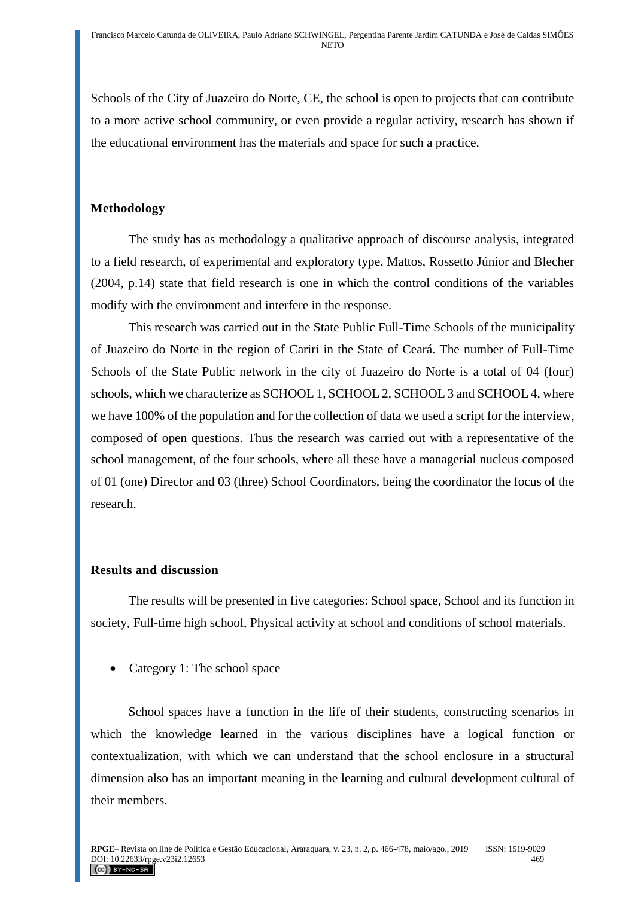Schools of the City of Juazeiro do Norte, CE, the school is open to projects that can contribute to a more active school community, or even provide a regular activity, research has shown if the educational environment has the materials and space for such a practice.

# **Methodology**

The study has as methodology a qualitative approach of discourse analysis, integrated to a field research, of experimental and exploratory type. Mattos, Rossetto Júnior and Blecher (2004, p.14) state that field research is one in which the control conditions of the variables modify with the environment and interfere in the response.

This research was carried out in the State Public Full-Time Schools of the municipality of Juazeiro do Norte in the region of Cariri in the State of Ceará. The number of Full-Time Schools of the State Public network in the city of Juazeiro do Norte is a total of 04 (four) schools, which we characterize as SCHOOL 1, SCHOOL 2, SCHOOL 3 and SCHOOL 4, where we have 100% of the population and for the collection of data we used a script for the interview, composed of open questions. Thus the research was carried out with a representative of the school management, of the four schools, where all these have a managerial nucleus composed of 01 (one) Director and 03 (three) School Coordinators, being the coordinator the focus of the research.

## **Results and discussion**

The results will be presented in five categories: School space, School and its function in society, Full-time high school, Physical activity at school and conditions of school materials.

• Category 1: The school space

School spaces have a function in the life of their students, constructing scenarios in which the knowledge learned in the various disciplines have a logical function or contextualization, with which we can understand that the school enclosure in a structural dimension also has an important meaning in the learning and cultural development cultural of their members.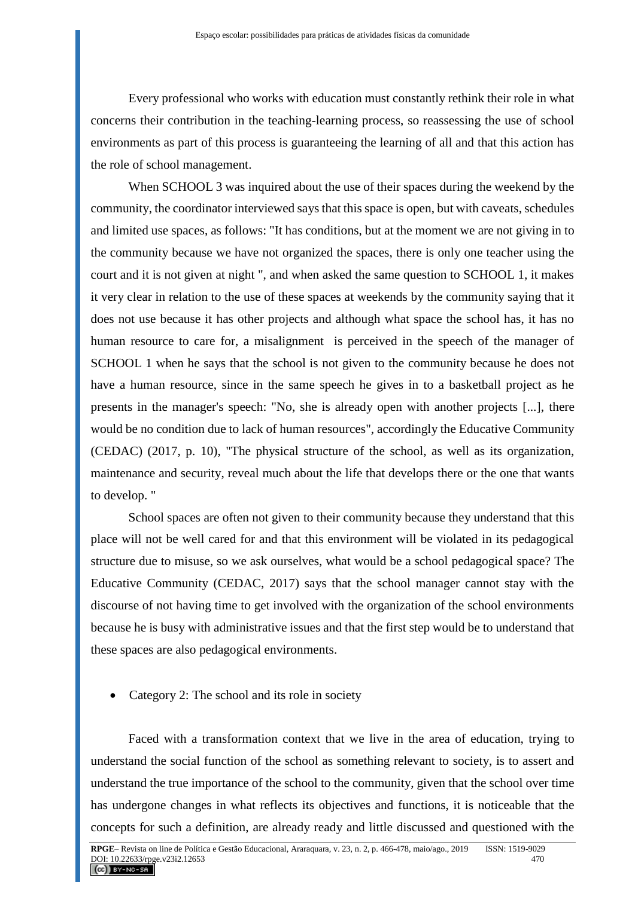Every professional who works with education must constantly rethink their role in what concerns their contribution in the teaching-learning process, so reassessing the use of school environments as part of this process is guaranteeing the learning of all and that this action has the role of school management.

When SCHOOL 3 was inquired about the use of their spaces during the weekend by the community, the coordinator interviewed says that this space is open, but with caveats, schedules and limited use spaces, as follows: "It has conditions, but at the moment we are not giving in to the community because we have not organized the spaces, there is only one teacher using the court and it is not given at night ", and when asked the same question to SCHOOL 1, it makes it very clear in relation to the use of these spaces at weekends by the community saying that it does not use because it has other projects and although what space the school has, it has no human resource to care for, a misalignment is perceived in the speech of the manager of SCHOOL 1 when he says that the school is not given to the community because he does not have a human resource, since in the same speech he gives in to a basketball project as he presents in the manager's speech: "No, she is already open with another projects [...], there would be no condition due to lack of human resources", accordingly the Educative Community (CEDAC) (2017, p. 10), "The physical structure of the school, as well as its organization, maintenance and security, reveal much about the life that develops there or the one that wants to develop. "

School spaces are often not given to their community because they understand that this place will not be well cared for and that this environment will be violated in its pedagogical structure due to misuse, so we ask ourselves, what would be a school pedagogical space? The Educative Community (CEDAC, 2017) says that the school manager cannot stay with the discourse of not having time to get involved with the organization of the school environments because he is busy with administrative issues and that the first step would be to understand that these spaces are also pedagogical environments.

• Category 2: The school and its role in society

Faced with a transformation context that we live in the area of education, trying to understand the social function of the school as something relevant to society, is to assert and understand the true importance of the school to the community, given that the school over time has undergone changes in what reflects its objectives and functions, it is noticeable that the concepts for such a definition, are already ready and little discussed and questioned with the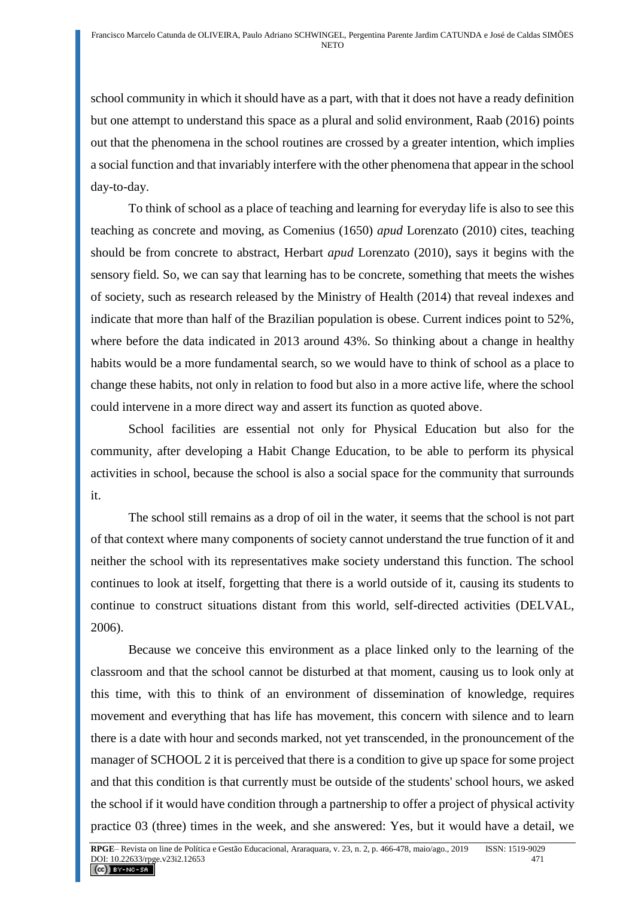school community in which it should have as a part, with that it does not have a ready definition but one attempt to understand this space as a plural and solid environment, Raab (2016) points out that the phenomena in the school routines are crossed by a greater intention, which implies a social function and that invariably interfere with the other phenomena that appear in the school day-to-day.

To think of school as a place of teaching and learning for everyday life is also to see this teaching as concrete and moving, as Comenius (1650) *apud* Lorenzato (2010) cites, teaching should be from concrete to abstract, Herbart *apud* Lorenzato (2010), says it begins with the sensory field. So, we can say that learning has to be concrete, something that meets the wishes of society, such as research released by the Ministry of Health (2014) that reveal indexes and indicate that more than half of the Brazilian population is obese. Current indices point to 52%, where before the data indicated in 2013 around 43%. So thinking about a change in healthy habits would be a more fundamental search, so we would have to think of school as a place to change these habits, not only in relation to food but also in a more active life, where the school could intervene in a more direct way and assert its function as quoted above.

School facilities are essential not only for Physical Education but also for the community, after developing a Habit Change Education, to be able to perform its physical activities in school, because the school is also a social space for the community that surrounds it.

The school still remains as a drop of oil in the water, it seems that the school is not part of that context where many components of society cannot understand the true function of it and neither the school with its representatives make society understand this function. The school continues to look at itself, forgetting that there is a world outside of it, causing its students to continue to construct situations distant from this world, self-directed activities (DELVAL, 2006).

Because we conceive this environment as a place linked only to the learning of the classroom and that the school cannot be disturbed at that moment, causing us to look only at this time, with this to think of an environment of dissemination of knowledge, requires movement and everything that has life has movement, this concern with silence and to learn there is a date with hour and seconds marked, not yet transcended, in the pronouncement of the manager of SCHOOL 2 it is perceived that there is a condition to give up space for some project and that this condition is that currently must be outside of the students' school hours, we asked the school if it would have condition through a partnership to offer a project of physical activity practice 03 (three) times in the week, and she answered: Yes, but it would have a detail, we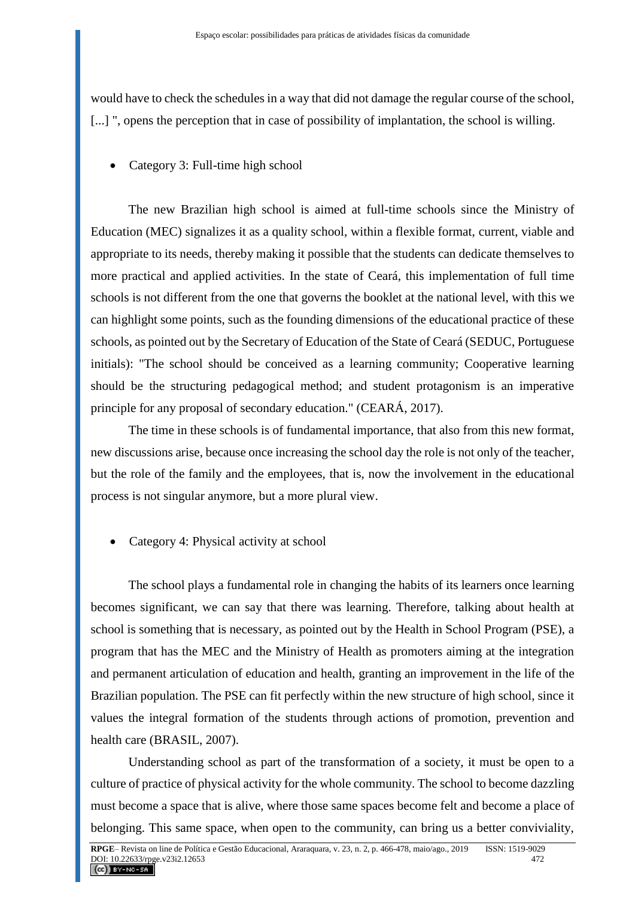would have to check the schedules in a way that did not damage the regular course of the school, [...] ", opens the perception that in case of possibility of implantation, the school is willing.

Category 3: Full-time high school

The new Brazilian high school is aimed at full-time schools since the Ministry of Education (MEC) signalizes it as a quality school, within a flexible format, current, viable and appropriate to its needs, thereby making it possible that the students can dedicate themselves to more practical and applied activities. In the state of Ceará, this implementation of full time schools is not different from the one that governs the booklet at the national level, with this we can highlight some points, such as the founding dimensions of the educational practice of these schools, as pointed out by the Secretary of Education of the State of Ceará (SEDUC, Portuguese initials): "The school should be conceived as a learning community; Cooperative learning should be the structuring pedagogical method; and student protagonism is an imperative principle for any proposal of secondary education." (CEARÁ, 2017).

The time in these schools is of fundamental importance, that also from this new format, new discussions arise, because once increasing the school day the role is not only of the teacher, but the role of the family and the employees, that is, now the involvement in the educational process is not singular anymore, but a more plural view.

• Category 4: Physical activity at school

The school plays a fundamental role in changing the habits of its learners once learning becomes significant, we can say that there was learning. Therefore, talking about health at school is something that is necessary, as pointed out by the Health in School Program (PSE), a program that has the MEC and the Ministry of Health as promoters aiming at the integration and permanent articulation of education and health, granting an improvement in the life of the Brazilian population. The PSE can fit perfectly within the new structure of high school, since it values the integral formation of the students through actions of promotion, prevention and health care (BRASIL, 2007).

Understanding school as part of the transformation of a society, it must be open to a culture of practice of physical activity for the whole community. The school to become dazzling must become a space that is alive, where those same spaces become felt and become a place of belonging. This same space, when open to the community, can bring us a better conviviality,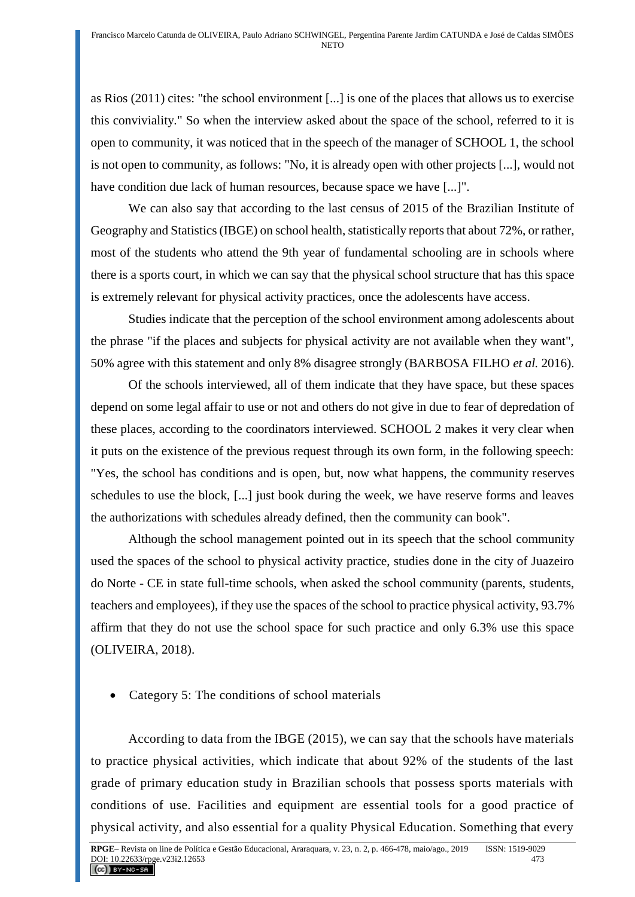as Rios (2011) cites: "the school environment [...] is one of the places that allows us to exercise this conviviality." So when the interview asked about the space of the school, referred to it is open to community, it was noticed that in the speech of the manager of SCHOOL 1, the school is not open to community, as follows: "No, it is already open with other projects [...], would not have condition due lack of human resources, because space we have [...]".

We can also say that according to the last census of 2015 of the Brazilian Institute of Geography and Statistics (IBGE) on school health, statistically reports that about 72%, or rather, most of the students who attend the 9th year of fundamental schooling are in schools where there is a sports court, in which we can say that the physical school structure that has this space is extremely relevant for physical activity practices, once the adolescents have access.

Studies indicate that the perception of the school environment among adolescents about the phrase "if the places and subjects for physical activity are not available when they want", 50% agree with this statement and only 8% disagree strongly (BARBOSA FILHO *et al.* 2016).

Of the schools interviewed, all of them indicate that they have space, but these spaces depend on some legal affair to use or not and others do not give in due to fear of depredation of these places, according to the coordinators interviewed. SCHOOL 2 makes it very clear when it puts on the existence of the previous request through its own form, in the following speech: "Yes, the school has conditions and is open, but, now what happens, the community reserves schedules to use the block, [...] just book during the week, we have reserve forms and leaves the authorizations with schedules already defined, then the community can book".

Although the school management pointed out in its speech that the school community used the spaces of the school to physical activity practice, studies done in the city of Juazeiro do Norte - CE in state full-time schools, when asked the school community (parents, students, teachers and employees), if they use the spaces of the school to practice physical activity, 93.7% affirm that they do not use the school space for such practice and only 6.3% use this space (OLIVEIRA, 2018).

• Category 5: The conditions of school materials

According to data from the IBGE (2015), we can say that the schools have materials to practice physical activities, which indicate that about 92% of the students of the last grade of primary education study in Brazilian schools that possess sports materials with conditions of use. Facilities and equipment are essential tools for a good practice of physical activity, and also essential for a quality Physical Education. Something that every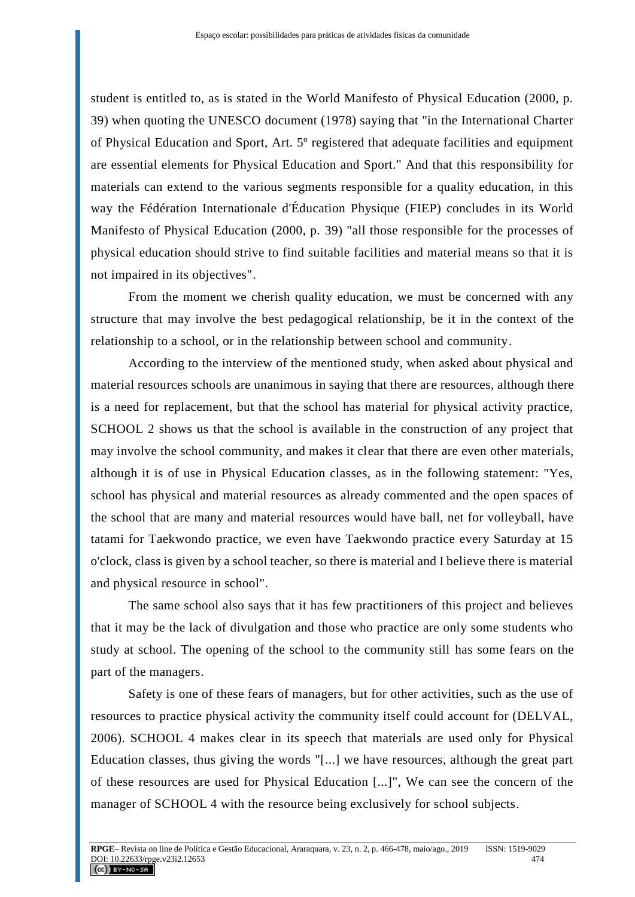student is entitled to, as is stated in the World Manifesto of Physical Education (2000, p. 39) when quoting the UNESCO document (1978) saying that "in the International Charter of Physical Education and Sport, Art. 5º registered that adequate facilities and equipment are essential elements for Physical Education and Sport." And that this responsibility for materials can extend to the various segments responsible for a quality education, in this way the Fédération Internationale d'Éducation Physique (FIEP) concludes in its World Manifesto of Physical Education (2000, p. 39) "all those responsible for the processes of physical education should strive to find suitable facilities and material means so that it is not impaired in its objectives".

From the moment we cherish quality education, we must be concerned with any structure that may involve the best pedagogical relationship, be it in the context of the relationship to a school, or in the relationship between school and community.

According to the interview of the mentioned study, when asked about physical and material resources schools are unanimous in saying that there are resources, although there is a need for replacement, but that the school has material for physical activity practice, SCHOOL 2 shows us that the school is available in the construction of any project that may involve the school community, and makes it clear that there are even other materials, although it is of use in Physical Education classes, as in the following statement: "Yes, school has physical and material resources as already commented and the open spaces of the school that are many and material resources would have ball, net for volleyball, have tatami for Taekwondo practice, we even have Taekwondo practice every Saturday at 15 o'clock, class is given by a school teacher, so there is material and I believe there is material and physical resource in school".

The same school also says that it has few practitioners of this project and believes that it may be the lack of divulgation and those who practice are only some students who study at school. The opening of the school to the community still has some fears on the part of the managers.

Safety is one of these fears of managers, but for other activities, such as the use of resources to practice physical activity the community itself could account for (DELVAL, 2006). SCHOOL 4 makes clear in its speech that materials are used only for Physical Education classes, thus giving the words "[...] we have resources, although the great part of these resources are used for Physical Education [...]", We can see the concern of the manager of SCHOOL 4 with the resource being exclusively for school subjects.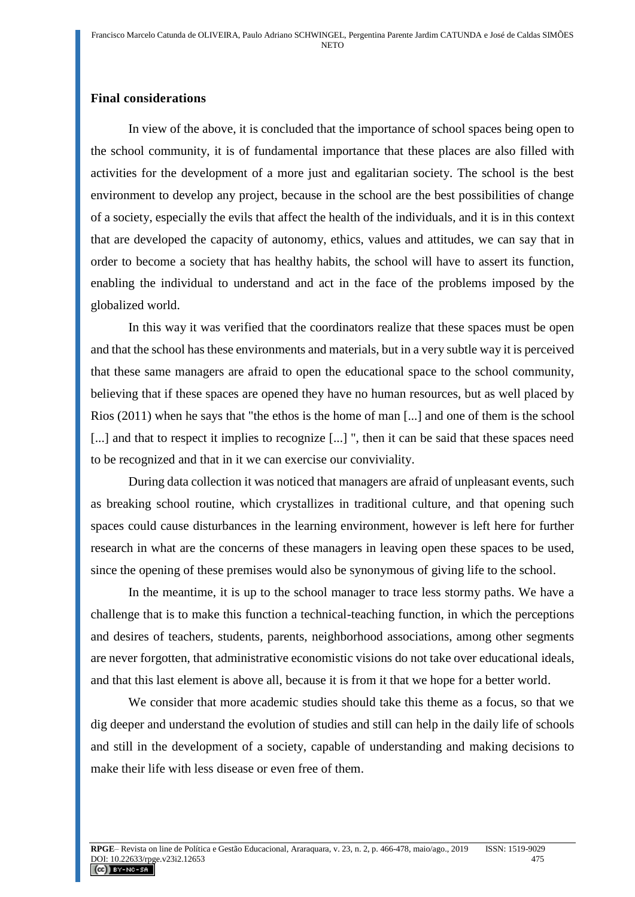### **Final considerations**

In view of the above, it is concluded that the importance of school spaces being open to the school community, it is of fundamental importance that these places are also filled with activities for the development of a more just and egalitarian society. The school is the best environment to develop any project, because in the school are the best possibilities of change of a society, especially the evils that affect the health of the individuals, and it is in this context that are developed the capacity of autonomy, ethics, values and attitudes, we can say that in order to become a society that has healthy habits, the school will have to assert its function, enabling the individual to understand and act in the face of the problems imposed by the globalized world.

In this way it was verified that the coordinators realize that these spaces must be open and that the school has these environments and materials, but in a very subtle way it is perceived that these same managers are afraid to open the educational space to the school community, believing that if these spaces are opened they have no human resources, but as well placed by Rios (2011) when he says that "the ethos is the home of man [...] and one of them is the school [...] and that to respect it implies to recognize [...] ", then it can be said that these spaces need to be recognized and that in it we can exercise our conviviality.

During data collection it was noticed that managers are afraid of unpleasant events, such as breaking school routine, which crystallizes in traditional culture, and that opening such spaces could cause disturbances in the learning environment, however is left here for further research in what are the concerns of these managers in leaving open these spaces to be used, since the opening of these premises would also be synonymous of giving life to the school.

In the meantime, it is up to the school manager to trace less stormy paths. We have a challenge that is to make this function a technical-teaching function, in which the perceptions and desires of teachers, students, parents, neighborhood associations, among other segments are never forgotten, that administrative economistic visions do not take over educational ideals, and that this last element is above all, because it is from it that we hope for a better world.

We consider that more academic studies should take this theme as a focus, so that we dig deeper and understand the evolution of studies and still can help in the daily life of schools and still in the development of a society, capable of understanding and making decisions to make their life with less disease or even free of them.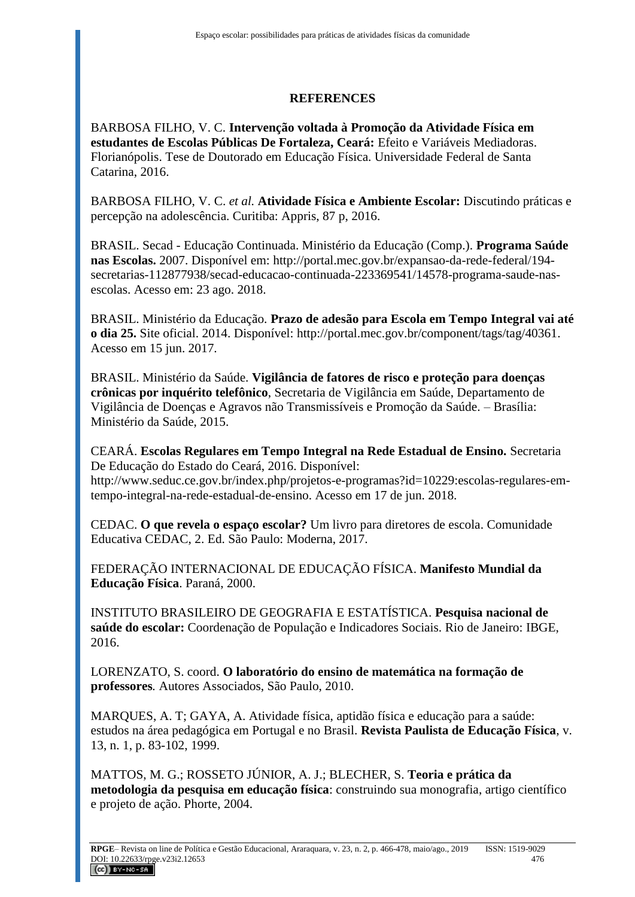### **REFERENCES**

BARBOSA FILHO, V. C. **Intervenção voltada à Promoção da Atividade Física em estudantes de Escolas Públicas De Fortaleza, Ceará:** Efeito e Variáveis Mediadoras. Florianópolis. Tese de Doutorado em Educação Física. Universidade Federal de Santa Catarina, 2016.

BARBOSA FILHO, V. C. *et al.* **Atividade Física e Ambiente Escolar:** Discutindo práticas e percepção na adolescência. Curitiba: Appris, 87 p, 2016.

BRASIL. Secad - Educação Continuada. Ministério da Educação (Comp.). **Programa Saúde nas Escolas.** 2007. Disponível em: http://portal.mec.gov.br/expansao-da-rede-federal/194 secretarias-112877938/secad-educacao-continuada-223369541/14578-programa-saude-nasescolas. Acesso em: 23 ago. 2018.

BRASIL. Ministério da Educação. **Prazo de adesão para Escola em Tempo Integral vai até o dia 25.** Site oficial. 2014. Disponível: http://portal.mec.gov.br/component/tags/tag/40361. Acesso em 15 jun. 2017.

BRASIL. Ministério da Saúde. **Vigilância de fatores de risco e proteção para doenças crônicas por inquérito telefônico**, Secretaria de Vigilância em Saúde, Departamento de Vigilância de Doenças e Agravos não Transmissíveis e Promoção da Saúde. – Brasília: Ministério da Saúde, 2015.

CEARÁ. **Escolas Regulares em Tempo Integral na Rede Estadual de Ensino.** Secretaria De Educação do Estado do Ceará, 2016. Disponível: http://www.seduc.ce.gov.br/index.php/projetos-e-programas?id=10229:escolas-regulares-emtempo-integral-na-rede-estadual-de-ensino. Acesso em 17 de jun. 2018.

CEDAC. **O que revela o espaço escolar?** Um livro para diretores de escola. Comunidade Educativa CEDAC, 2. Ed. São Paulo: Moderna, 2017.

FEDERAÇÃO INTERNACIONAL DE EDUCAÇÃO FÍSICA. **Manifesto Mundial da Educação Física**. Paraná, 2000.

INSTITUTO BRASILEIRO DE GEOGRAFIA E ESTATÍSTICA. **Pesquisa nacional de saúde do escolar:** Coordenação de População e Indicadores Sociais. Rio de Janeiro: IBGE, 2016.

LORENZATO, S. coord. **O laboratório do ensino de matemática na formação de professores***.* Autores Associados, São Paulo, 2010.

MARQUES, A. T; GAYA, A. Atividade física, aptidão física e educação para a saúde: estudos na área pedagógica em Portugal e no Brasil. **Revista Paulista de Educação Física**, v. 13, n. 1, p. 83-102, 1999.

MATTOS, M. G.; ROSSETO JÚNIOR, A. J.; BLECHER, S. **Teoria e prática da metodologia da pesquisa em educação física**: construindo sua monografia, artigo científico e projeto de ação. Phorte, 2004.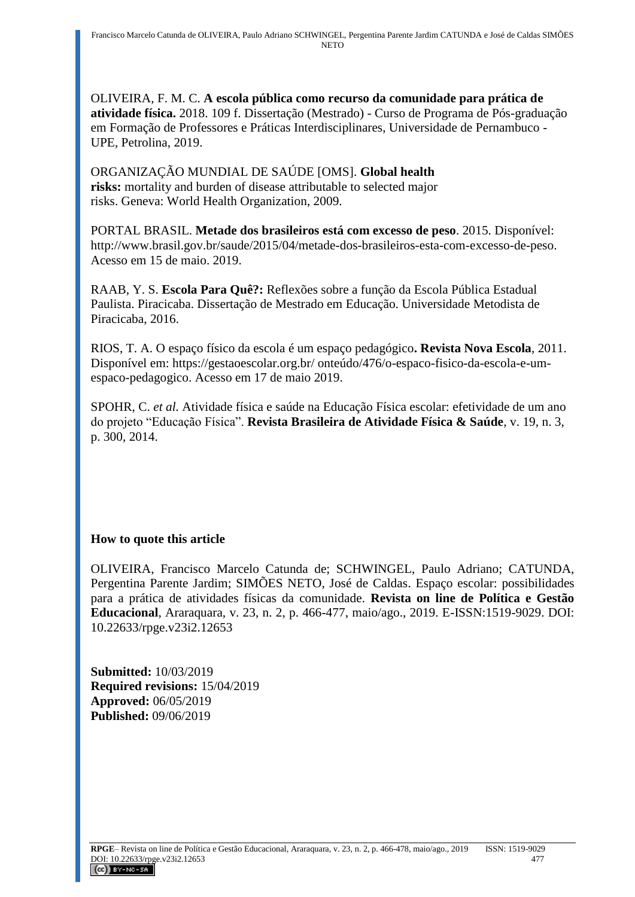OLIVEIRA, F. M. C. **A escola pública como recurso da comunidade para prática de atividade física.** 2018. 109 f. Dissertação (Mestrado) - Curso de Programa de Pós-graduação em Formação de Professores e Práticas Interdisciplinares, Universidade de Pernambuco - UPE, Petrolina, 2019.

ORGANIZAÇÃO MUNDIAL DE SAÚDE [OMS]. **Global health risks:** mortality and burden of disease attributable to selected major risks. Geneva: World Health Organization, 2009.

PORTAL BRASIL. **Metade dos brasileiros está com excesso de peso**. 2015. Disponível: [http://www.brasil.gov.br/saude/2015/04/metade-dos-brasileiros-esta-com-excesso-de-peso.](http://www.brasil.gov.br/saude/2015/04/metade-dos-brasileiros-esta-com-excesso-de-peso) Acesso em 15 de maio. 2019.

RAAB, Y. S. **Escola Para Quê?:** Reflexões sobre a função da Escola Pública Estadual Paulista. Piracicaba. Dissertação de Mestrado em Educação. Universidade Metodista de Piracicaba, 2016.

RIOS, T. A. O espaço físico da escola é um espaço pedagógico**. Revista Nova Escola**, 2011. Disponível em: https://gestaoescolar.org.br/ onteúdo/476/o-espaco-fisico-da-escola-e-umespaco-pedagogico. Acesso em 17 de maio 2019.

SPOHR, C. *et al.* Atividade física e saúde na Educação Física escolar: efetividade de um ano do projeto "Educação Física". **Revista Brasileira de Atividade Física & Saúde**, v. 19, n. 3, p. 300, 2014.

# **How to quote this article**

OLIVEIRA, Francisco Marcelo Catunda de; SCHWINGEL, Paulo Adriano; CATUNDA, Pergentina Parente Jardim; SIMÕES NETO, José de Caldas. Espaço escolar: possibilidades para a prática de atividades físicas da comunidade. **Revista on line de Política e Gestão Educacional**, Araraquara, v. 23, n. 2, p. 466-477, maio/ago., 2019. E-ISSN:1519-9029. DOI: 10.22633/rpge.v23i2.12653

**Submitted:** 10/03/2019 **Required revisions:** 15/04/2019 **Approved:** 06/05/2019 **Published:** 09/06/2019